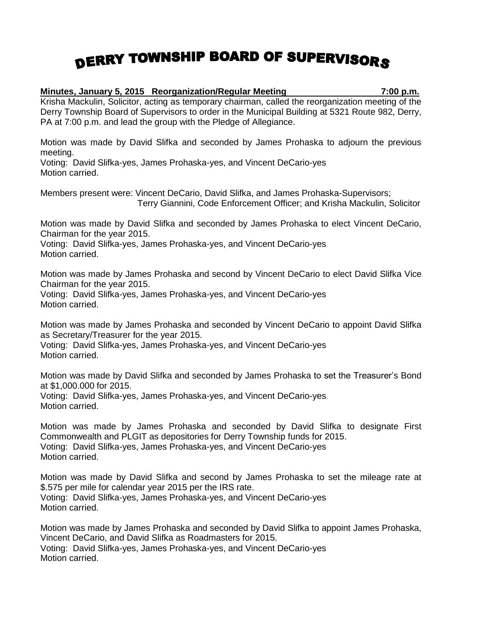## DERRY TOWNSHIP BOARD OF SUPERVISORS

## **Minutes, January 5, 2015 Reorganization/Regular Meeting 7:00 p.m.** Krisha Mackulin, Solicitor, acting as temporary chairman, called the reorganization meeting of the Derry Township Board of Supervisors to order in the Municipal Building at 5321 Route 982, Derry,

PA at 7:00 p.m. and lead the group with the Pledge of Allegiance.

Motion was made by David Slifka and seconded by James Prohaska to adjourn the previous meeting.

Voting: David Slifka-yes, James Prohaska-yes, and Vincent DeCario-yes Motion carried.

Members present were: Vincent DeCario, David Slifka, and James Prohaska-Supervisors; Terry Giannini, Code Enforcement Officer; and Krisha Mackulin, Solicitor

Motion was made by David Slifka and seconded by James Prohaska to elect Vincent DeCario, Chairman for the year 2015.

Voting: David Slifka-yes, James Prohaska-yes, and Vincent DeCario-yes Motion carried.

Motion was made by James Prohaska and second by Vincent DeCario to elect David Slifka Vice Chairman for the year 2015.

Voting: David Slifka-yes, James Prohaska-yes, and Vincent DeCario-yes Motion carried.

Motion was made by James Prohaska and seconded by Vincent DeCario to appoint David Slifka as Secretary/Treasurer for the year 2015.

Voting: David Slifka-yes, James Prohaska-yes, and Vincent DeCario-yes Motion carried.

Motion was made by David Slifka and seconded by James Prohaska to set the Treasurer's Bond at \$1,000.000 for 2015.

Voting: David Slifka-yes, James Prohaska-yes, and Vincent DeCario-yes Motion carried.

Motion was made by James Prohaska and seconded by David Slifka to designate First Commonwealth and PLGIT as depositories for Derry Township funds for 2015. Voting: David Slifka-yes, James Prohaska-yes, and Vincent DeCario-yes Motion carried.

Motion was made by David Slifka and second by James Prohaska to set the mileage rate at \$.575 per mile for calendar year 2015 per the IRS rate. Voting: David Slifka-yes, James Prohaska-yes, and Vincent DeCario-yes Motion carried.

Motion was made by James Prohaska and seconded by David Slifka to appoint James Prohaska, Vincent DeCario, and David Slifka as Roadmasters for 2015. Voting: David Slifka-yes, James Prohaska-yes, and Vincent DeCario-yes Motion carried.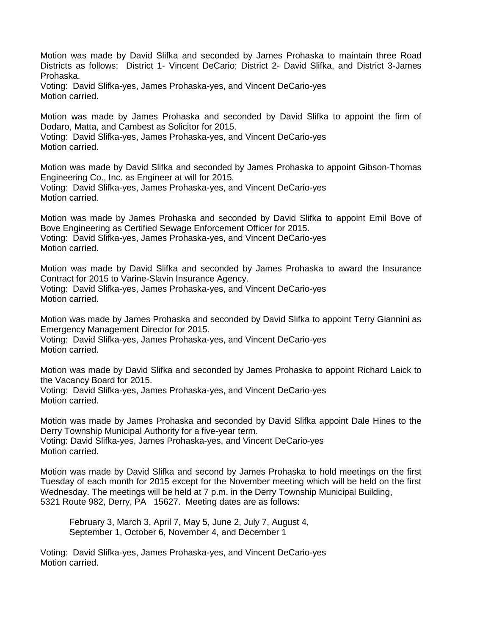Motion was made by David Slifka and seconded by James Prohaska to maintain three Road Districts as follows: District 1- Vincent DeCario; District 2- David Slifka, and District 3-James Prohaska.

Voting: David Slifka-yes, James Prohaska-yes, and Vincent DeCario-yes Motion carried.

Motion was made by James Prohaska and seconded by David Slifka to appoint the firm of Dodaro, Matta, and Cambest as Solicitor for 2015.

Voting: David Slifka-yes, James Prohaska-yes, and Vincent DeCario-yes Motion carried.

Motion was made by David Slifka and seconded by James Prohaska to appoint Gibson-Thomas Engineering Co., Inc. as Engineer at will for 2015. Voting: David Slifka-yes, James Prohaska-yes, and Vincent DeCario-yes Motion carried.

Motion was made by James Prohaska and seconded by David Slifka to appoint Emil Bove of Bove Engineering as Certified Sewage Enforcement Officer for 2015. Voting: David Slifka-yes, James Prohaska-yes, and Vincent DeCario-yes Motion carried.

Motion was made by David Slifka and seconded by James Prohaska to award the Insurance Contract for 2015 to Varine-Slavin Insurance Agency. Voting: David Slifka-yes, James Prohaska-yes, and Vincent DeCario-yes Motion carried.

Motion was made by James Prohaska and seconded by David Slifka to appoint Terry Giannini as Emergency Management Director for 2015.

Voting: David Slifka-yes, James Prohaska-yes, and Vincent DeCario-yes Motion carried.

Motion was made by David Slifka and seconded by James Prohaska to appoint Richard Laick to the Vacancy Board for 2015. Voting: David Slifka-yes, James Prohaska-yes, and Vincent DeCario-yes

Motion carried.

Motion was made by James Prohaska and seconded by David Slifka appoint Dale Hines to the Derry Township Municipal Authority for a five-year term. Voting: David Slifka-yes, James Prohaska-yes, and Vincent DeCario-yes Motion carried.

Motion was made by David Slifka and second by James Prohaska to hold meetings on the first Tuesday of each month for 2015 except for the November meeting which will be held on the first Wednesday. The meetings will be held at 7 p.m. in the Derry Township Municipal Building, 5321 Route 982, Derry, PA 15627. Meeting dates are as follows:

February 3, March 3, April 7, May 5, June 2, July 7, August 4, September 1, October 6, November 4, and December 1

Voting: David Slifka-yes, James Prohaska-yes, and Vincent DeCario-yes Motion carried.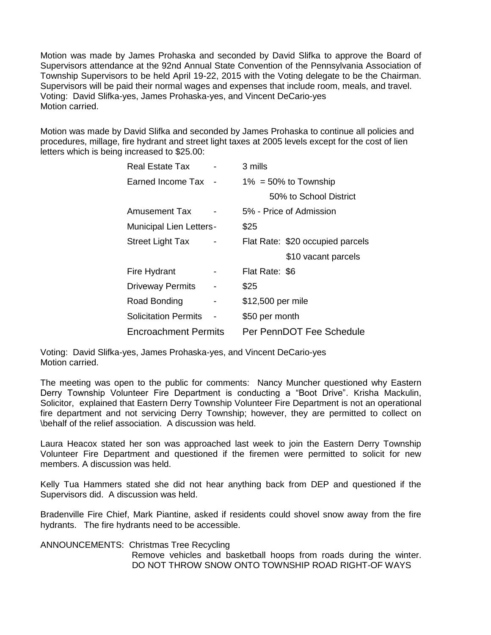Motion was made by James Prohaska and seconded by David Slifka to approve the Board of Supervisors attendance at the 92nd Annual State Convention of the Pennsylvania Association of Township Supervisors to be held April 19-22, 2015 with the Voting delegate to be the Chairman. Supervisors will be paid their normal wages and expenses that include room, meals, and travel. Voting: David Slifka-yes, James Prohaska-yes, and Vincent DeCario-yes Motion carried.

Motion was made by David Slifka and seconded by James Prohaska to continue all policies and procedures, millage, fire hydrant and street light taxes at 2005 levels except for the cost of lien letters which is being increased to \$25.00:

| <b>Real Estate Tax</b>         |  | 3 mills                          |
|--------------------------------|--|----------------------------------|
| Earned Income Tax              |  | $1\% = 50\%$ to Township         |
|                                |  | 50% to School District           |
| Amusement Tax                  |  | 5% - Price of Admission          |
| <b>Municipal Lien Letters-</b> |  | \$25                             |
| <b>Street Light Tax</b>        |  | Flat Rate: \$20 occupied parcels |
|                                |  | \$10 vacant parcels              |
| Fire Hydrant                   |  | Flat Rate: \$6                   |
| <b>Driveway Permits</b>        |  | \$25                             |
| Road Bonding                   |  | \$12,500 per mile                |
| <b>Solicitation Permits</b>    |  | \$50 per month                   |
| <b>Encroachment Permits</b>    |  | Per PennDOT Fee Schedule         |

Voting: David Slifka-yes, James Prohaska-yes, and Vincent DeCario-yes Motion carried.

The meeting was open to the public for comments: Nancy Muncher questioned why Eastern Derry Township Volunteer Fire Department is conducting a "Boot Drive". Krisha Mackulin, Solicitor, explained that Eastern Derry Township Volunteer Fire Department is not an operational fire department and not servicing Derry Township; however, they are permitted to collect on \behalf of the relief association. A discussion was held.

Laura Heacox stated her son was approached last week to join the Eastern Derry Township Volunteer Fire Department and questioned if the firemen were permitted to solicit for new members. A discussion was held.

Kelly Tua Hammers stated she did not hear anything back from DEP and questioned if the Supervisors did. A discussion was held.

Bradenville Fire Chief, Mark Piantine, asked if residents could shovel snow away from the fire hydrants. The fire hydrants need to be accessible.

ANNOUNCEMENTS: Christmas Tree Recycling Remove vehicles and basketball hoops from roads during the winter. DO NOT THROW SNOW ONTO TOWNSHIP ROAD RIGHT-OF WAYS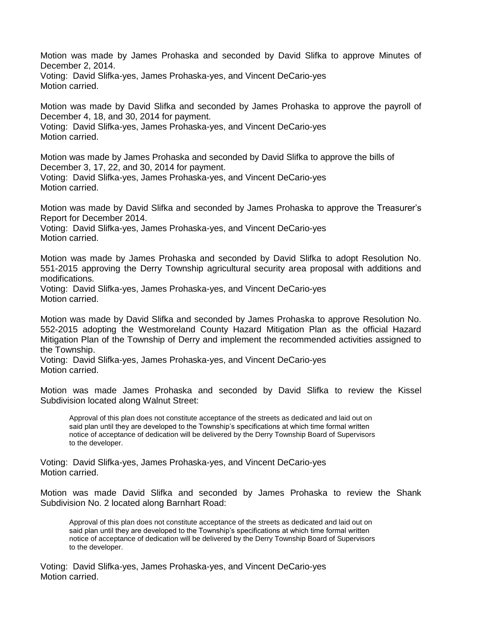Motion was made by James Prohaska and seconded by David Slifka to approve Minutes of December 2, 2014.

Voting: David Slifka-yes, James Prohaska-yes, and Vincent DeCario-yes Motion carried.

Motion was made by David Slifka and seconded by James Prohaska to approve the payroll of December 4, 18, and 30, 2014 for payment. Voting: David Slifka-yes, James Prohaska-yes, and Vincent DeCario-yes

Motion carried.

Motion was made by James Prohaska and seconded by David Slifka to approve the bills of December 3, 17, 22, and 30, 2014 for payment. Voting: David Slifka-yes, James Prohaska-yes, and Vincent DeCario-yes Motion carried.

Motion was made by David Slifka and seconded by James Prohaska to approve the Treasurer's Report for December 2014.

Voting: David Slifka-yes, James Prohaska-yes, and Vincent DeCario-yes Motion carried.

Motion was made by James Prohaska and seconded by David Slifka to adopt Resolution No. 551-2015 approving the Derry Township agricultural security area proposal with additions and modifications.

Voting: David Slifka-yes, James Prohaska-yes, and Vincent DeCario-yes Motion carried.

Motion was made by David Slifka and seconded by James Prohaska to approve Resolution No. 552-2015 adopting the Westmoreland County Hazard Mitigation Plan as the official Hazard Mitigation Plan of the Township of Derry and implement the recommended activities assigned to the Township.

Voting: David Slifka-yes, James Prohaska-yes, and Vincent DeCario-yes Motion carried.

Motion was made James Prohaska and seconded by David Slifka to review the Kissel Subdivision located along Walnut Street:

Approval of this plan does not constitute acceptance of the streets as dedicated and laid out on said plan until they are developed to the Township's specifications at which time formal written notice of acceptance of dedication will be delivered by the Derry Township Board of Supervisors to the developer.

Voting: David Slifka-yes, James Prohaska-yes, and Vincent DeCario-yes Motion carried.

Motion was made David Slifka and seconded by James Prohaska to review the Shank Subdivision No. 2 located along Barnhart Road:

Approval of this plan does not constitute acceptance of the streets as dedicated and laid out on said plan until they are developed to the Township's specifications at which time formal written notice of acceptance of dedication will be delivered by the Derry Township Board of Supervisors to the developer.

Voting: David Slifka-yes, James Prohaska-yes, and Vincent DeCario-yes Motion carried.